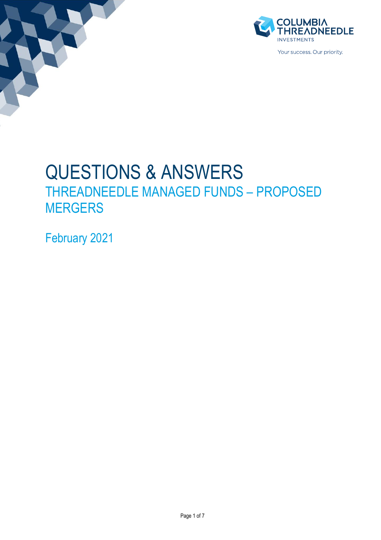



# QUESTIONS & ANSWERS THREADNEEDLE MANAGED FUNDS – PROPOSED MERGERS

February 2021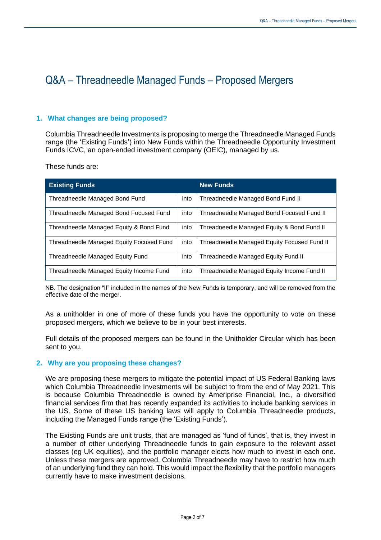## Q&A – Threadneedle Managed Funds – Proposed Mergers

#### **1. What changes are being proposed?**

Columbia Threadneedle Investments is proposing to merge the Threadneedle Managed Funds range (the 'Existing Funds') into New Funds within the Threadneedle Opportunity Investment Funds ICVC, an open-ended investment company (OEIC), managed by us.

These funds are:

| <b>Existing Funds</b>                    |      | <b>New Funds</b>                            |
|------------------------------------------|------|---------------------------------------------|
| Threadneedle Managed Bond Fund           | into | Threadneedle Managed Bond Fund II           |
| Threadneedle Managed Bond Focused Fund   | into | Threadneedle Managed Bond Focused Fund II   |
| Threadneedle Managed Equity & Bond Fund  | into | Threadneedle Managed Equity & Bond Fund II  |
| Threadneedle Managed Equity Focused Fund | into | Threadneedle Managed Equity Focused Fund II |
| Threadneedle Managed Equity Fund         | into | Threadneedle Managed Equity Fund II         |
| Threadneedle Managed Equity Income Fund  | into | Threadneedle Managed Equity Income Fund II  |

NB. The designation "II" included in the names of the New Funds is temporary, and will be removed from the effective date of the merger.

As a unitholder in one of more of these funds you have the opportunity to vote on these proposed mergers, which we believe to be in your best interests.

Full details of the proposed mergers can be found in the Unitholder Circular which has been sent to you.

#### **2. Why are you proposing these changes?**

We are proposing these mergers to mitigate the potential impact of US Federal Banking laws which Columbia Threadneedle Investments will be subject to from the end of May 2021. This is because Columbia Threadneedle is owned by Ameriprise Financial, Inc., a diversified financial services firm that has recently expanded its activities to include banking services in the US. Some of these US banking laws will apply to Columbia Threadneedle products, including the Managed Funds range (the 'Existing Funds').

The Existing Funds are unit trusts, that are managed as 'fund of funds', that is, they invest in a number of other underlying Threadneedle funds to gain exposure to the relevant asset classes (eg UK equities), and the portfolio manager elects how much to invest in each one. Unless these mergers are approved, Columbia Threadneedle may have to restrict how much of an underlying fund they can hold. This would impact the flexibility that the portfolio managers currently have to make investment decisions.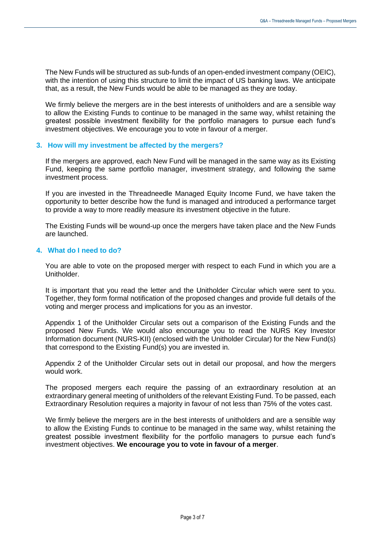The New Funds will be structured as sub-funds of an open-ended investment company (OEIC), with the intention of using this structure to limit the impact of US banking laws. We anticipate that, as a result, the New Funds would be able to be managed as they are today.

We firmly believe the mergers are in the best interests of unitholders and are a sensible way to allow the Existing Funds to continue to be managed in the same way, whilst retaining the greatest possible investment flexibility for the portfolio managers to pursue each fund's investment objectives. We encourage you to vote in favour of a merger.

#### **3. How will my investment be affected by the mergers?**

If the mergers are approved, each New Fund will be managed in the same way as its Existing Fund, keeping the same portfolio manager, investment strategy, and following the same investment process.

If you are invested in the Threadneedle Managed Equity Income Fund, we have taken the opportunity to better describe how the fund is managed and introduced a performance target to provide a way to more readily measure its investment objective in the future.

The Existing Funds will be wound-up once the mergers have taken place and the New Funds are launched.

#### **4. What do I need to do?**

You are able to vote on the proposed merger with respect to each Fund in which you are a Unitholder.

It is important that you read the letter and the Unitholder Circular which were sent to you. Together, they form formal notification of the proposed changes and provide full details of the voting and merger process and implications for you as an investor.

Appendix 1 of the Unitholder Circular sets out a comparison of the Existing Funds and the proposed New Funds. We would also encourage you to read the NURS Key Investor Information document (NURS-KII) (enclosed with the Unitholder Circular) for the New Fund(s) that correspond to the Existing Fund(s) you are invested in.

Appendix 2 of the Unitholder Circular sets out in detail our proposal, and how the mergers would work.

The proposed mergers each require the passing of an extraordinary resolution at an extraordinary general meeting of unitholders of the relevant Existing Fund. To be passed, each Extraordinary Resolution requires a majority in favour of not less than 75% of the votes cast.

We firmly believe the mergers are in the best interests of unitholders and are a sensible way to allow the Existing Funds to continue to be managed in the same way, whilst retaining the greatest possible investment flexibility for the portfolio managers to pursue each fund's investment objectives. **We encourage you to vote in favour of a merger**.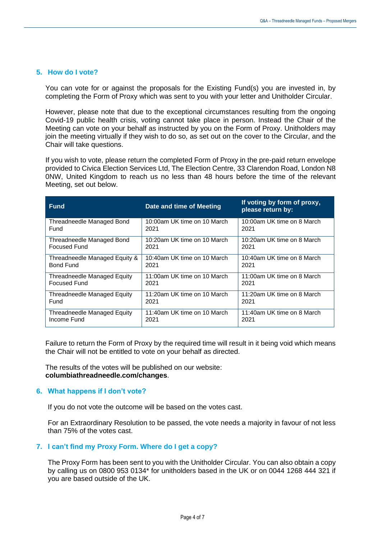#### **5. How do I vote?**

You can vote for or against the proposals for the Existing Fund(s) you are invested in, by completing the Form of Proxy which was sent to you with your letter and Unitholder Circular.

However, please note that due to the exceptional circumstances resulting from the ongoing Covid-19 public health crisis, voting cannot take place in person. Instead the Chair of the Meeting can vote on your behalf as instructed by you on the Form of Proxy. Unitholders may join the meeting virtually if they wish to do so, as set out on the cover to the Circular, and the Chair will take questions.

If you wish to vote, please return the completed Form of Proxy in the pre-paid return envelope provided to Civica Election Services Ltd, The Election Centre, 33 Clarendon Road, London N8 0NW, United Kingdom to reach us no less than 48 hours before the time of the relevant Meeting, set out below.

| <b>Fund</b>                   | Date and time of Meeting    | If voting by form of proxy,<br>please return by: |
|-------------------------------|-----------------------------|--------------------------------------------------|
| Threadneedle Managed Bond     | 10:00am UK time on 10 March | 10:00am UK time on 8 March                       |
| Fund                          | 2021                        | 2021                                             |
| Threadneedle Managed Bond     | 10:20am UK time on 10 March | 10:20am UK time on 8 March                       |
| <b>Focused Fund</b>           | 2021                        | 2021                                             |
| Threadneedle Managed Equity & | 10:40am UK time on 10 March | 10:40am UK time on 8 March                       |
| <b>Bond Fund</b>              | 2021                        | 2021                                             |
| Threadneedle Managed Equity   | 11:00am UK time on 10 March | 11:00am UK time on 8 March                       |
| <b>Focused Fund</b>           | 2021                        | 2021                                             |
| Threadneedle Managed Equity   | 11:20am UK time on 10 March | 11:20am UK time on 8 March                       |
| Fund                          | 2021                        | 2021                                             |
| Threadneedle Managed Equity   | 11:40am UK time on 10 March | 11:40am UK time on 8 March                       |
| Income Fund                   | 2021                        | 2021                                             |

Failure to return the Form of Proxy by the required time will result in it being void which means the Chair will not be entitled to vote on your behalf as directed.

The results of the votes will be published on our website: **columbiathreadneedle.com/changes**.

#### **6. What happens if I don't vote?**

If you do not vote the outcome will be based on the votes cast.

For an Extraordinary Resolution to be passed, the vote needs a majority in favour of not less than 75% of the votes cast.

#### **7. I can't find my Proxy Form. Where do I get a copy?**

The Proxy Form has been sent to you with the Unitholder Circular. You can also obtain a copy by calling us on 0800 953 0134\* for unitholders based in the UK or on 0044 1268 444 321 if you are based outside of the UK.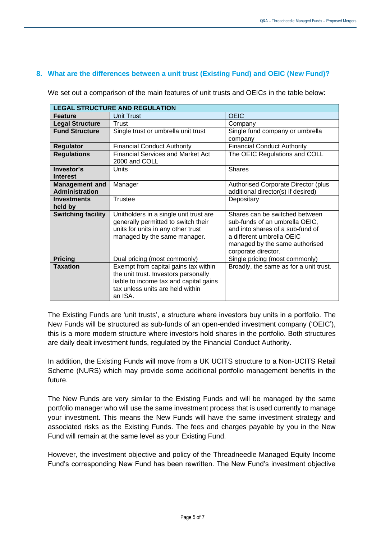### **8. What are the differences between a unit trust (Existing Fund) and OEIC (New Fund)?**

| <b>LEGAL STRUCTURE AND REGULATION</b> |                                                           |                                                       |  |  |
|---------------------------------------|-----------------------------------------------------------|-------------------------------------------------------|--|--|
| <b>Feature</b>                        | <b>Unit Trust</b>                                         | <b>OEIC</b>                                           |  |  |
| <b>Legal Structure</b>                | Trust                                                     | Company                                               |  |  |
| <b>Fund Structure</b>                 | Single trust or umbrella unit trust                       | Single fund company or umbrella                       |  |  |
|                                       |                                                           | company                                               |  |  |
| <b>Regulator</b>                      | <b>Financial Conduct Authority</b>                        | <b>Financial Conduct Authority</b>                    |  |  |
| <b>Regulations</b>                    | <b>Financial Services and Market Act</b><br>2000 and COLL | The OEIC Regulations and COLL                         |  |  |
| Investor's                            | Units                                                     | <b>Shares</b>                                         |  |  |
| <b>Interest</b>                       |                                                           |                                                       |  |  |
| <b>Management and</b>                 | Manager                                                   | <b>Authorised Corporate Director (plus</b>            |  |  |
| <b>Administration</b>                 |                                                           | additional director(s) if desired)                    |  |  |
| <b>Investments</b>                    | Trustee                                                   | Depositary                                            |  |  |
| held by                               |                                                           |                                                       |  |  |
| <b>Switching facility</b>             | Unitholders in a single unit trust are                    | Shares can be switched between                        |  |  |
|                                       | generally permitted to switch their                       | sub-funds of an umbrella OEIC,                        |  |  |
|                                       | units for units in any other trust                        | and into shares of a sub-fund of                      |  |  |
|                                       | managed by the same manager.                              | a different umbrella OEIC                             |  |  |
|                                       |                                                           | managed by the same authorised<br>corporate director. |  |  |
| <b>Pricing</b>                        | Dual pricing (most commonly)                              | Single pricing (most commonly)                        |  |  |
| <b>Taxation</b>                       | Exempt from capital gains tax within                      | Broadly, the same as for a unit trust.                |  |  |
|                                       | the unit trust. Investors personally                      |                                                       |  |  |
|                                       | liable to income tax and capital gains                    |                                                       |  |  |
|                                       | tax unless units are held within                          |                                                       |  |  |
|                                       | an ISA.                                                   |                                                       |  |  |

We set out a comparison of the main features of unit trusts and OEICs in the table below:

The Existing Funds are 'unit trusts', a structure where investors buy units in a portfolio. The New Funds will be structured as sub-funds of an open-ended investment company ('OEIC'), this is a more modern structure where investors hold shares in the portfolio. Both structures are daily dealt investment funds, regulated by the Financial Conduct Authority.

In addition, the Existing Funds will move from a UK UCITS structure to a Non-UCITS Retail Scheme (NURS) which may provide some additional portfolio management benefits in the future.

The New Funds are very similar to the Existing Funds and will be managed by the same portfolio manager who will use the same investment process that is used currently to manage your investment. This means the New Funds will have the same investment strategy and associated risks as the Existing Funds. The fees and charges payable by you in the New Fund will remain at the same level as your Existing Fund.

However, the investment objective and policy of the Threadneedle Managed Equity Income Fund's corresponding New Fund has been rewritten. The New Fund's investment objective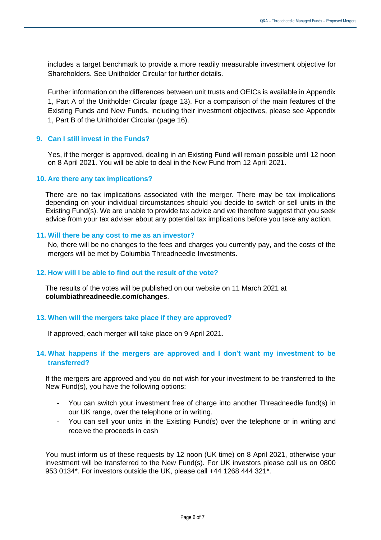includes a target benchmark to provide a more readily measurable investment objective for Shareholders. See Unitholder Circular for further details.

Further information on the differences between unit trusts and OEICs is available in Appendix 1, Part A of the Unitholder Circular (page 13). For a comparison of the main features of the Existing Funds and New Funds, including their investment objectives, please see Appendix 1, Part B of the Unitholder Circular (page 16).

#### **9. Can I still invest in the Funds?**

Yes, if the merger is approved, dealing in an Existing Fund will remain possible until 12 noon on 8 April 2021. You will be able to deal in the New Fund from 12 April 2021.

#### **10. Are there any tax implications?**

There are no tax implications associated with the merger. There may be tax implications depending on your individual circumstances should you decide to switch or sell units in the Existing Fund(s). We are unable to provide tax advice and we therefore suggest that you seek advice from your tax adviser about any potential tax implications before you take any action.

#### **11. Will there be any cost to me as an investor?**

No, there will be no changes to the fees and charges you currently pay, and the costs of the mergers will be met by Columbia Threadneedle Investments.

#### **12. How will I be able to find out the result of the vote?**

The results of the votes will be published on our website on 11 March 2021 at **columbiathreadneedle.com/changes**.

#### **13. When will the mergers take place if they are approved?**

If approved, each merger will take place on 9 April 2021.

#### **14. What happens if the mergers are approved and I don't want my investment to be transferred?**

If the mergers are approved and you do not wish for your investment to be transferred to the New Fund(s), you have the following options:

- You can switch your investment free of charge into another Threadneedle fund(s) in our UK range, over the telephone or in writing.
- You can sell your units in the Existing Fund(s) over the telephone or in writing and receive the proceeds in cash

You must inform us of these requests by 12 noon (UK time) on 8 April 2021, otherwise your investment will be transferred to the New Fund(s). For UK investors please call us on 0800 953 0134\*. For investors outside the UK, please call +44 1268 444 321\*.